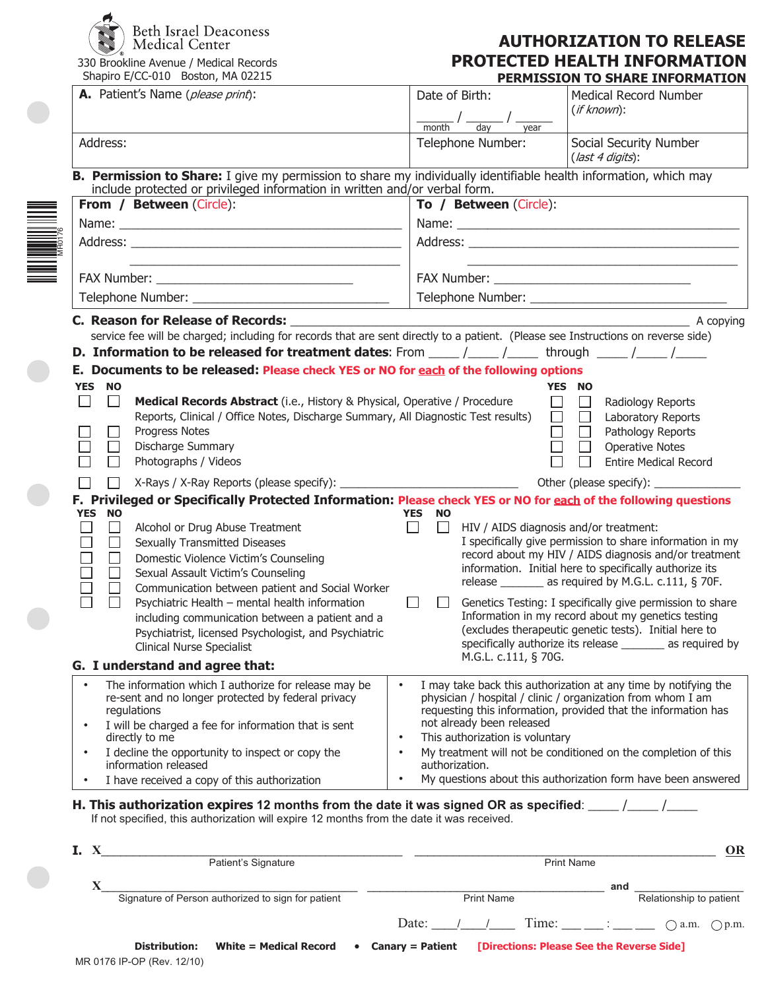

330 Brookline Avenue / Medical Records Shapiro E/CC-010 Boston, MA 02215

## **AUTHORIZATION TO RELEASE PROTECTED HEALTH INFORMATION PERMISSION TO SHARE INFORMATION**

|                                                                                                                                                                                                                                                   | <u>FLIN'ILSSLON TO SHAKE LIN ONI'IATLOI</u>                                                                                                                                                                                                                                                                                                                                                                                                                                                                     |  |  |  |  |  |
|---------------------------------------------------------------------------------------------------------------------------------------------------------------------------------------------------------------------------------------------------|-----------------------------------------------------------------------------------------------------------------------------------------------------------------------------------------------------------------------------------------------------------------------------------------------------------------------------------------------------------------------------------------------------------------------------------------------------------------------------------------------------------------|--|--|--|--|--|
| A. Patient's Name (please print):                                                                                                                                                                                                                 | Date of Birth:<br><b>Medical Record Number</b><br>$(if$ known $):$<br>$\frac{1}{\sqrt{1-\frac{1}{\sqrt{1-\frac{1}{\sqrt{1-\frac{1}{\sqrt{1-\frac{1}{\sqrt{1-\frac{1}{\sqrt{1-\frac{1}{\sqrt{1-\frac{1}{\sqrt{1-\frac{1}{\sqrt{1-\frac{1}{\sqrt{1-\frac{1}{\sqrt{1-\frac{1}{\sqrt{1-\frac{1}{\sqrt{1-\frac{1}{\sqrt{1-\frac{1}{\sqrt{1-\frac{1}{\sqrt{1-\frac{1}{\sqrt{1-\frac{1}{\sqrt{1-\frac{1}{\sqrt{1-\frac{1}{\sqrt{1-\frac{1}{\sqrt{1-\frac{1}{\sqrt{1-\frac{1}{\sqrt{1-\frac{1}{\sqrt{1-\frac{1$<br>vear |  |  |  |  |  |
| Address:                                                                                                                                                                                                                                          | Social Security Number<br>Telephone Number:<br>$u \text{last } 4 \text{ digits}$ :                                                                                                                                                                                                                                                                                                                                                                                                                              |  |  |  |  |  |
| B. Permission to Share: I give my permission to share my individually identifiable health information, which may<br>include protected or privileged information in written and/or verbal form.                                                    |                                                                                                                                                                                                                                                                                                                                                                                                                                                                                                                 |  |  |  |  |  |
| From / Between (Circle):                                                                                                                                                                                                                          | To / Between (Circle):                                                                                                                                                                                                                                                                                                                                                                                                                                                                                          |  |  |  |  |  |
|                                                                                                                                                                                                                                                   |                                                                                                                                                                                                                                                                                                                                                                                                                                                                                                                 |  |  |  |  |  |
|                                                                                                                                                                                                                                                   | the control of the control of the control of the control of the control of the control of                                                                                                                                                                                                                                                                                                                                                                                                                       |  |  |  |  |  |
|                                                                                                                                                                                                                                                   |                                                                                                                                                                                                                                                                                                                                                                                                                                                                                                                 |  |  |  |  |  |
|                                                                                                                                                                                                                                                   |                                                                                                                                                                                                                                                                                                                                                                                                                                                                                                                 |  |  |  |  |  |
|                                                                                                                                                                                                                                                   |                                                                                                                                                                                                                                                                                                                                                                                                                                                                                                                 |  |  |  |  |  |
|                                                                                                                                                                                                                                                   | service fee will be charged; including for records that are sent directly to a patient. (Please see Instructions on reverse side)                                                                                                                                                                                                                                                                                                                                                                               |  |  |  |  |  |
| <b>D. Information to be released for treatment dates:</b> From $\frac{1}{\sqrt{2}}$ herough $\frac{1}{\sqrt{2}}$                                                                                                                                  |                                                                                                                                                                                                                                                                                                                                                                                                                                                                                                                 |  |  |  |  |  |
| E. Documents to be released: Please check YES or NO for each of the following options                                                                                                                                                             |                                                                                                                                                                                                                                                                                                                                                                                                                                                                                                                 |  |  |  |  |  |
| YES NO                                                                                                                                                                                                                                            | YES NO                                                                                                                                                                                                                                                                                                                                                                                                                                                                                                          |  |  |  |  |  |
| $\Box$<br>$\mathcal{L}$<br>Medical Records Abstract (i.e., History & Physical, Operative / Procedure<br>Reports, Clinical / Office Notes, Discharge Summary, All Diagnostic Test results)                                                         | $\Box$<br>$\Box$<br>Radiology Reports<br>$\Box$<br>$\Box$<br>Laboratory Reports                                                                                                                                                                                                                                                                                                                                                                                                                                 |  |  |  |  |  |
| <b>Progress Notes</b>                                                                                                                                                                                                                             | $\Box$<br>Pathology Reports                                                                                                                                                                                                                                                                                                                                                                                                                                                                                     |  |  |  |  |  |
| Discharge Summary<br>Photographs / Videos                                                                                                                                                                                                         | <b>Operative Notes</b><br><b>Entire Medical Record</b>                                                                                                                                                                                                                                                                                                                                                                                                                                                          |  |  |  |  |  |
|                                                                                                                                                                                                                                                   |                                                                                                                                                                                                                                                                                                                                                                                                                                                                                                                 |  |  |  |  |  |
| $\perp$                                                                                                                                                                                                                                           | F. Privileged or Specifically Protected Information: Please check YES or NO for each of the following questions                                                                                                                                                                                                                                                                                                                                                                                                 |  |  |  |  |  |
| <b>YES</b><br><b>NO</b>                                                                                                                                                                                                                           | YES NO                                                                                                                                                                                                                                                                                                                                                                                                                                                                                                          |  |  |  |  |  |
| $\Box$<br>Alcohol or Drug Abuse Treatment                                                                                                                                                                                                         | $\Box$<br>$\Box$<br>HIV / AIDS diagnosis and/or treatment:                                                                                                                                                                                                                                                                                                                                                                                                                                                      |  |  |  |  |  |
| $\Box$<br><b>Sexually Transmitted Diseases</b>                                                                                                                                                                                                    | I specifically give permission to share information in my                                                                                                                                                                                                                                                                                                                                                                                                                                                       |  |  |  |  |  |
| Domestic Violence Victim's Counseling<br>$\Box$                                                                                                                                                                                                   | record about my HIV / AIDS diagnosis and/or treatment<br>information. Initial here to specifically authorize its                                                                                                                                                                                                                                                                                                                                                                                                |  |  |  |  |  |
| Sexual Assault Victim's Counseling<br>$\Box$<br>Communication between patient and Social Worker                                                                                                                                                   | release _______ as required by M.G.L. c.111, § 70F.                                                                                                                                                                                                                                                                                                                                                                                                                                                             |  |  |  |  |  |
| Psychiatric Health - mental health information                                                                                                                                                                                                    | Genetics Testing: I specifically give permission to share                                                                                                                                                                                                                                                                                                                                                                                                                                                       |  |  |  |  |  |
| including communication between a patient and a                                                                                                                                                                                                   | Information in my record about my genetics testing                                                                                                                                                                                                                                                                                                                                                                                                                                                              |  |  |  |  |  |
| Psychiatrist, licensed Psychologist, and Psychiatric                                                                                                                                                                                              | (excludes therapeutic genetic tests). Initial here to                                                                                                                                                                                                                                                                                                                                                                                                                                                           |  |  |  |  |  |
| <b>Clinical Nurse Specialist</b>                                                                                                                                                                                                                  | specifically authorize its release _______ as required by<br>M.G.L. c.111, § 70G.                                                                                                                                                                                                                                                                                                                                                                                                                               |  |  |  |  |  |
| G. I understand and agree that:                                                                                                                                                                                                                   |                                                                                                                                                                                                                                                                                                                                                                                                                                                                                                                 |  |  |  |  |  |
| The information which I authorize for release may be<br>$\bullet$<br>re-sent and no longer protected by federal privacy<br>regulations                                                                                                            | I may take back this authorization at any time by notifying the<br>$\bullet$<br>physician / hospital / clinic / organization from whom I am<br>requesting this information, provided that the information has                                                                                                                                                                                                                                                                                                   |  |  |  |  |  |
| I will be charged a fee for information that is sent<br>$\bullet$<br>directly to me                                                                                                                                                               | not already been released<br>This authorization is voluntary<br>$\bullet$                                                                                                                                                                                                                                                                                                                                                                                                                                       |  |  |  |  |  |
| I decline the opportunity to inspect or copy the<br>$\bullet$<br>information released                                                                                                                                                             | My treatment will not be conditioned on the completion of this<br>$\bullet$<br>authorization.                                                                                                                                                                                                                                                                                                                                                                                                                   |  |  |  |  |  |
| I have received a copy of this authorization<br>$\bullet$                                                                                                                                                                                         | My questions about this authorization form have been answered<br>$\bullet$                                                                                                                                                                                                                                                                                                                                                                                                                                      |  |  |  |  |  |
| H. This authorization expires 12 months from the date it was signed OR as specified: $\frac{1}{\sqrt{1-\frac{1}{n}}}\frac{1}{\sqrt{1-\frac{1}{n}}}}$<br>If not specified, this authorization will expire 12 months from the date it was received. |                                                                                                                                                                                                                                                                                                                                                                                                                                                                                                                 |  |  |  |  |  |

| Ι. |                                                                                                                              |                            |                                                    |  |                   |  |                   |                         |  | OR                            |
|----|------------------------------------------------------------------------------------------------------------------------------|----------------------------|----------------------------------------------------|--|-------------------|--|-------------------|-------------------------|--|-------------------------------|
|    |                                                                                                                              |                            | Patient's Signature                                |  |                   |  | <b>Print Name</b> |                         |  |                               |
|    |                                                                                                                              |                            |                                                    |  |                   |  |                   | and                     |  |                               |
|    |                                                                                                                              |                            | Signature of Person authorized to sign for patient |  | <b>Print Name</b> |  |                   | Relationship to patient |  |                               |
|    |                                                                                                                              |                            |                                                    |  | Date:             |  | Time: :           |                         |  | $\bigcap$ a.m. $\bigcap$ p.m. |
|    | White = Medical Record<br>[Directions: Please See the Reverse Side]<br><b>Canary = Patient</b><br>Distribution:<br>$\bullet$ |                            |                                                    |  |                   |  |                   |                         |  |                               |
|    |                                                                                                                              | MR 0176 IP-OP (Rev. 12/10) |                                                    |  |                   |  |                   |                         |  |                               |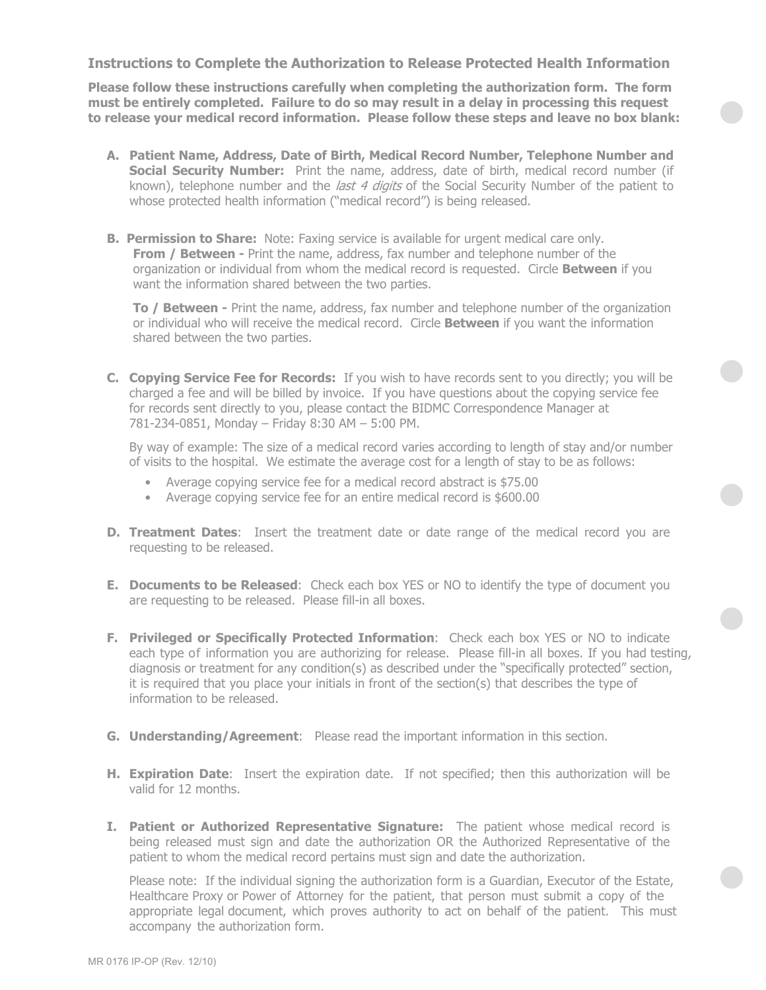## **Instructions to Complete the Authorization to Release Protected Health Information**

**Please follow these instructions carefully when completing the authorization form. The form must be entirely completed. Failure to do so may result in a delay in processing this request to release your medical record information. Please follow these steps and leave no box blank:**

- **A. Patient Name, Address, Date of Birth, Medical Record Number, Telephone Number and Social Security Number:** Print the name, address, date of birth, medical record number (if known), telephone number and the last 4 digits of the Social Security Number of the patient to whose protected health information ("medical record") is being released.
- **B. Permission to Share:** Note: Faxing service is available for urgent medical care only. **From / Between -** Print the name, address, fax number and telephone number of the organization or individual from whom the medical record is requested. Circle **Between** if you want the information shared between the two parties.

**To / Between -** Print the name, address, fax number and telephone number of the organization or individual who will receive the medical record. Circle **Between** if you want the information shared between the two parties.

**C. Copying Service Fee for Records:** If you wish to have records sent to you directly; you will be charged a fee and will be billed by invoice. If you have questions about the copying service fee for records sent directly to you, please contact the BIDMC Correspondence Manager at 781-234-0851, Monday – Friday 8:30 AM – 5:00 PM.

By way of example: The size of a medical record varies according to length of stay and/or number of visits to the hospital. We estimate the average cost for a length of stay to be as follows:

- Average copying service fee for a medical record abstract is \$75.00
- Average copying service fee for an entire medical record is \$600.00
- **D. Treatment Dates**: Insert the treatment date or date range of the medical record you are requesting to be released.
- **E. Documents to be Released**: Check each box YES or NO to identify the type of document you are requesting to be released. Please fill-in all boxes.
- **F. Privileged or Specifically Protected Information**: Check each box YES or NO to indicate each type of information you are authorizing for release. Please fill-in all boxes. If you had testing, diagnosis or treatment for any condition(s) as described under the "specifically protected" section, it is required that you place your initials in front of the section(s) that describes the type of information to be released.
- **G. Understanding/Agreement**: Please read the important information in this section.
- **H. Expiration Date**: Insert the expiration date. If not specified; then this authorization will be valid for 12 months.
- **I. Patient or Authorized Representative Signature:** The patient whose medical record is being released must sign and date the authorization OR the Authorized Representative of the patient to whom the medical record pertains must sign and date the authorization.

Please note: If the individual signing the authorization form is a Guardian, Executor of the Estate, Healthcare Proxy or Power of Attorney for the patient, that person must submit a copy of the appropriate legal document, which proves authority to act on behalf of the patient. This must accompany the authorization form.